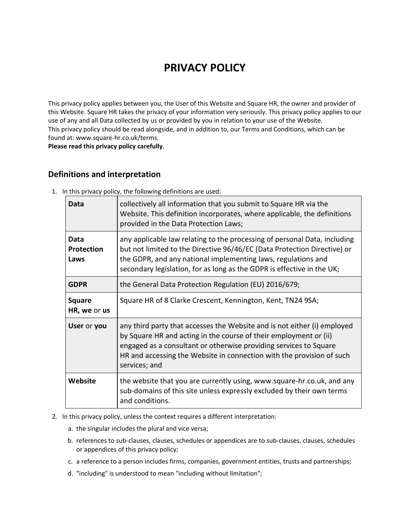# **PRIVACY POLICY**

This privacy policy applies between you, the User of this Website and Square HR, the owner and provider of this Website. Square HR takes the privacy of your information very seriously. This privacy policy applies to our use of any and all Data collected by us or provided by you in relation to your use of the Website. This privacy policy should be read alongside, and in addition to, our Terms and Conditions, which can be found at: www.square-hr.co.uk/terms.

**Please read this privacy policy carefully**.

## **Definitions and interpretation**

| Data                              | collectively all information that you submit to Square HR via the<br>Website. This definition incorporates, where applicable, the definitions<br>provided in the Data Protection Laws;                                                                                                                       |
|-----------------------------------|--------------------------------------------------------------------------------------------------------------------------------------------------------------------------------------------------------------------------------------------------------------------------------------------------------------|
| Data<br><b>Protection</b><br>Laws | any applicable law relating to the processing of personal Data, including<br>but not limited to the Directive 96/46/EC (Data Protection Directive) or<br>the GDPR, and any national implementing laws, regulations and<br>secondary legislation, for as long as the GDPR is effective in the UK;             |
| <b>GDPR</b>                       | the General Data Protection Regulation (EU) 2016/679;                                                                                                                                                                                                                                                        |
| <b>Square</b><br>HR, we or us     | Square HR of 8 Clarke Crescent, Kennington, Kent, TN24 9SA;                                                                                                                                                                                                                                                  |
| User or you                       | any third party that accesses the Website and is not either (i) employed<br>by Square HR and acting in the course of their employment or (ii)<br>engaged as a consultant or otherwise providing services to Square<br>HR and accessing the Website in connection with the provision of such<br>services; and |
| Website                           | the website that you are currently using, www.square-hr.co.uk, and any<br>sub-domains of this site unless expressly excluded by their own terms<br>and conditions.                                                                                                                                           |

1. In this privacy policy, the following definitions are used:

- 2. In this privacy policy, unless the context requires a different interpretation:
	- a. the singular includes the plural and vice versa;
	- b. references to sub-clauses, clauses, schedules or appendices are to sub-clauses, clauses, schedules or appendices of this privacy policy;
	- c. a reference to a person includes firms, companies, government entities, trusts and partnerships;
	- d. "including" is understood to mean "including without limitation";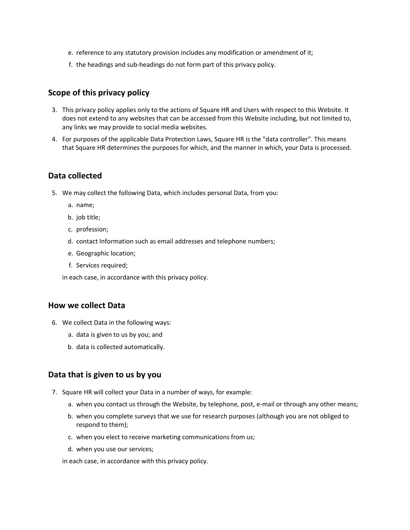- e. reference to any statutory provision includes any modification or amendment of it;
- f. the headings and sub-headings do not form part of this privacy policy.

#### **Scope of this privacy policy**

- 3. This privacy policy applies only to the actions of Square HR and Users with respect to this Website. It does not extend to any websites that can be accessed from this Website including, but not limited to, any links we may provide to social media websites.
- 4. For purposes of the applicable Data Protection Laws, Square HR is the "data controller". This means that Square HR determines the purposes for which, and the manner in which, your Data is processed.

#### **Data collected**

- 5. We may collect the following Data, which includes personal Data, from you:
	- a. name;
	- b. job title;
	- c. profession;
	- d. contact Information such as email addresses and telephone numbers;
	- e. Geographic location;
	- f. Services required;

in each case, in accordance with this privacy policy.

#### **How we collect Data**

- 6. We collect Data in the following ways:
	- a. data is given to us by you; and
	- b. data is collected automatically.

#### **Data that is given to us by you**

- 7. Square HR will collect your Data in a number of ways, for example:
	- a. when you contact us through the Website, by telephone, post, e-mail or through any other means;
	- b. when you complete surveys that we use for research purposes (although you are not obliged to respond to them);
	- c. when you elect to receive marketing communications from us;
	- d. when you use our services;

in each case, in accordance with this privacy policy.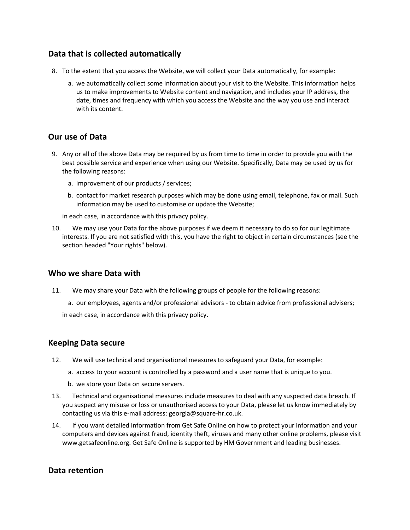## **Data that is collected automatically**

- 8. To the extent that you access the Website, we will collect your Data automatically, for example:
	- a. we automatically collect some information about your visit to the Website. This information helps us to make improvements to Website content and navigation, and includes your IP address, the date, times and frequency with which you access the Website and the way you use and interact with its content.

## **Our use of Data**

- 9. Any or all of the above Data may be required by us from time to time in order to provide you with the best possible service and experience when using our Website. Specifically, Data may be used by us for the following reasons:
	- a. improvement of our products / services;
	- b. contact for market research purposes which may be done using email, telephone, fax or mail. Such information may be used to customise or update the Website;

in each case, in accordance with this privacy policy.

10. We may use your Data for the above purposes if we deem it necessary to do so for our legitimate interests. If you are not satisfied with this, you have the right to object in certain circumstances (see the section headed "Your rights" below).

### **Who we share Data with**

- 11. We may share your Data with the following groups of people for the following reasons:
	- a. our employees, agents and/or professional advisors to obtain advice from professional advisers; in each case, in accordance with this privacy policy.

### **Keeping Data secure**

- 12. We will use technical and organisational measures to safeguard your Data, for example:
	- a. access to your account is controlled by a password and a user name that is unique to you.
	- b. we store your Data on secure servers.
- 13. Technical and organisational measures include measures to deal with any suspected data breach. If you suspect any misuse or loss or unauthorised access to your Data, please let us know immediately by contacting us via this e-mail address: georgia@square-hr.co.uk.
- 14. If you want detailed information from Get Safe Online on how to protect your information and your computers and devices against fraud, identity theft, viruses and many other online problems, please visit www.getsafeonline.org. Get Safe Online is supported by HM Government and leading businesses.

### **Data retention**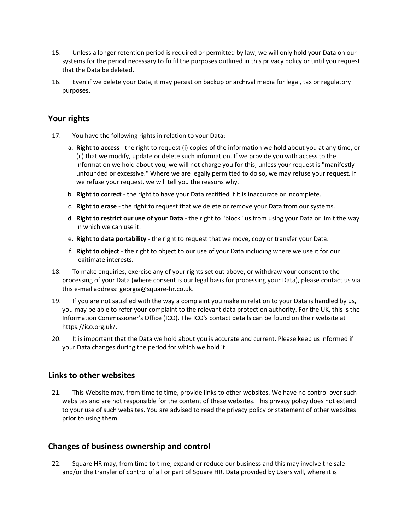- 15. Unless a longer retention period is required or permitted by law, we will only hold your Data on our systems for the period necessary to fulfil the purposes outlined in this privacy policy or until you request that the Data be deleted.
- 16. Even if we delete your Data, it may persist on backup or archival media for legal, tax or regulatory purposes.

### **Your rights**

- 17. You have the following rights in relation to your Data:
	- a. **Right to access** the right to request (i) copies of the information we hold about you at any time, or (ii) that we modify, update or delete such information. If we provide you with access to the information we hold about you, we will not charge you for this, unless your request is "manifestly unfounded or excessive." Where we are legally permitted to do so, we may refuse your request. If we refuse your request, we will tell you the reasons why.
	- b. **Right to correct** the right to have your Data rectified if it is inaccurate or incomplete.
	- c. **Right to erase** the right to request that we delete or remove your Data from our systems.
	- d. **Right to restrict our use of your Data** the right to "block" us from using your Data or limit the way in which we can use it.
	- e. **Right to data portability** the right to request that we move, copy or transfer your Data.
	- f. **Right to object** the right to object to our use of your Data including where we use it for our legitimate interests.
- 18. To make enquiries, exercise any of your rights set out above, or withdraw your consent to the processing of your Data (where consent is our legal basis for processing your Data), please contact us via this e-mail address: georgia@square-hr.co.uk.
- 19. If you are not satisfied with the way a complaint you make in relation to your Data is handled by us, you may be able to refer your complaint to the relevant data protection authority. For the UK, this is the Information Commissioner's Office (ICO). The ICO's contact details can be found on their website at https://ico.org.uk/.
- 20. It is important that the Data we hold about you is accurate and current. Please keep us informed if your Data changes during the period for which we hold it.

### **Links to other websites**

21. This Website may, from time to time, provide links to other websites. We have no control over such websites and are not responsible for the content of these websites. This privacy policy does not extend to your use of such websites. You are advised to read the privacy policy or statement of other websites prior to using them.

### **Changes of business ownership and control**

22. Square HR may, from time to time, expand or reduce our business and this may involve the sale and/or the transfer of control of all or part of Square HR. Data provided by Users will, where it is